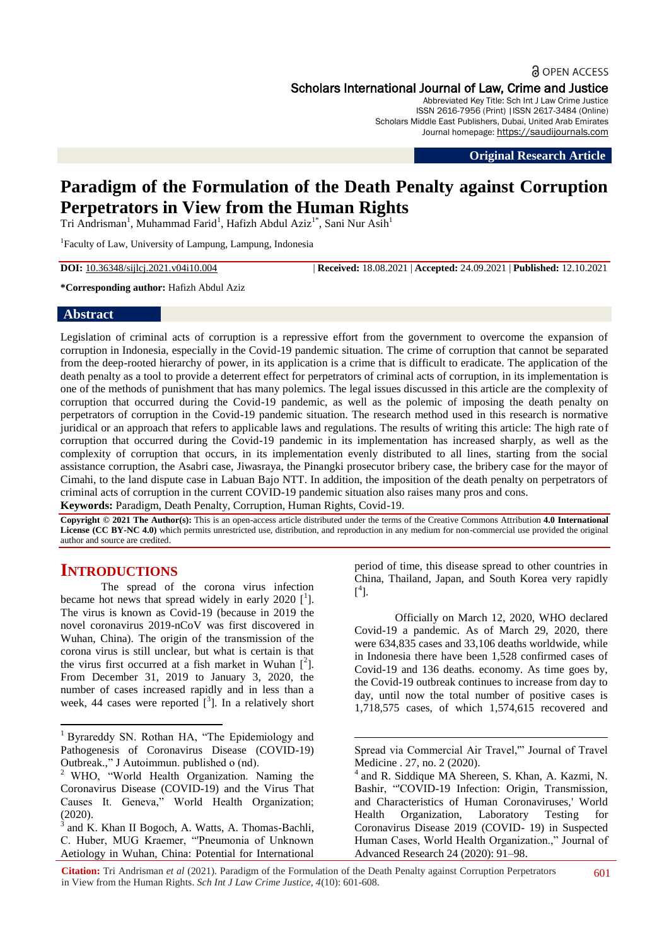# **a** OPEN ACCESS Scholars International Journal of Law, Crime and Justice

Abbreviated Key Title: Sch Int J Law Crime Justice ISSN 2616-7956 (Print) |ISSN 2617-3484 (Online) Scholars Middle East Publishers, Dubai, United Arab Emirates Journal homepage: https://saudijournals.com

**Original Research Article**

# **Paradigm of the Formulation of the Death Penalty against Corruption Perpetrators in View from the Human Rights**

Tri Andrisman<sup>1</sup>, Muhammad Farid<sup>1</sup>, Hafizh Abdul Aziz<sup>1\*</sup>, Sani Nur Asih<sup>1</sup>

1 Faculty of Law, University of Lampung, Lampung, Indonesia

**DOI:** 10.36348/sijlcj.2021.v04i10.004 | **Received:** 18.08.2021 | **Accepted:** 24.09.2021 | **Published:** 12.10.2021

#### **\*Corresponding author:** Hafizh Abdul Aziz

#### **Abstract**

Legislation of criminal acts of corruption is a repressive effort from the government to overcome the expansion of corruption in Indonesia, especially in the Covid-19 pandemic situation. The crime of corruption that cannot be separated from the deep-rooted hierarchy of power, in its application is a crime that is difficult to eradicate. The application of the death penalty as a tool to provide a deterrent effect for perpetrators of criminal acts of corruption, in its implementation is one of the methods of punishment that has many polemics. The legal issues discussed in this article are the complexity of corruption that occurred during the Covid-19 pandemic, as well as the polemic of imposing the death penalty on perpetrators of corruption in the Covid-19 pandemic situation. The research method used in this research is normative juridical or an approach that refers to applicable laws and regulations. The results of writing this article: The high rate of corruption that occurred during the Covid-19 pandemic in its implementation has increased sharply, as well as the complexity of corruption that occurs, in its implementation evenly distributed to all lines, starting from the social assistance corruption, the Asabri case, Jiwasraya, the Pinangki prosecutor bribery case, the bribery case for the mayor of Cimahi, to the land dispute case in Labuan Bajo NTT. In addition, the imposition of the death penalty on perpetrators of criminal acts of corruption in the current COVID-19 pandemic situation also raises many pros and cons. **Keywords:** Paradigm, Death Penalty, Corruption, Human Rights, Covid-19.

**Copyright © 2021 The Author(s):** This is an open-access article distributed under the terms of the Creative Commons Attribution **4.0 International License (CC BY-NC 4.0)** which permits unrestricted use, distribution, and reproduction in any medium for non-commercial use provided the original author and source are credited.

1

# **INTRODUCTIONS**

1

The spread of the corona virus infection became hot news that spread widely in early  $2020$  [ $^1$ ]. The virus is known as Covid-19 (because in 2019 the novel coronavirus 2019-nCoV was first discovered in Wuhan, China). The origin of the transmission of the corona virus is still unclear, but what is certain is that the virus first occurred at a fish market in Wuhan  $[^2]$ . From December 31, 2019 to January 3, 2020, the number of cases increased rapidly and in less than a week, 44 cases were reported  $\begin{bmatrix} 3 \end{bmatrix}$ . In a relatively short period of time, this disease spread to other countries in China, Thailand, Japan, and South Korea very rapidly  $[^4]$ .

Officially on March 12, 2020, WHO declared Covid-19 a pandemic. As of March 29, 2020, there were 634,835 cases and 33,106 deaths worldwide, while in Indonesia there have been 1,528 confirmed cases of Covid-19 and 136 deaths. economy. As time goes by, the Covid-19 outbreak continues to increase from day to day, until now the total number of positive cases is 1,718,575 cases, of which 1,574,615 recovered and

<sup>&</sup>lt;sup>1</sup> Byrareddy SN. Rothan HA, "The Epidemiology and Pathogenesis of Coronavirus Disease (COVID-19) Outbreak.," J Autoimmun. published o (nd).

<sup>&</sup>lt;sup>2</sup> WHO, "World Health Organization. Naming the Coronavirus Disease (COVID-19) and the Virus That Causes It. Geneva," World Health Organization;  $(2020).$ <sup>3</sup> and V

and K. Khan II Bogoch, A. Watts, A. Thomas-Bachli, C. Huber, MUG Kraemer, "'Pneumonia of Unknown Aetiology in Wuhan, China: Potential for International

Spread via Commercial Air Travel,'" Journal of Travel Medicine . 27, no. 2 (2020).

<sup>4</sup> and R. Siddique MA Shereen, S. Khan, A. Kazmi, N. Bashir, "'COVID-19 Infection: Origin, Transmission, and Characteristics of Human Coronaviruses,' World Health Organization, Laboratory Testing for Coronavirus Disease 2019 (COVID- 19) in Suspected Human Cases, World Health Organization.," Journal of Advanced Research 24 (2020): 91–98.

**Citation:** Tri Andrisman *et al* (2021). Paradigm of the Formulation of the Death Penalty against Corruption Perpetrators in View from the Human Rights. *Sch Int J Law Crime Justice, 4*(10): 601-608.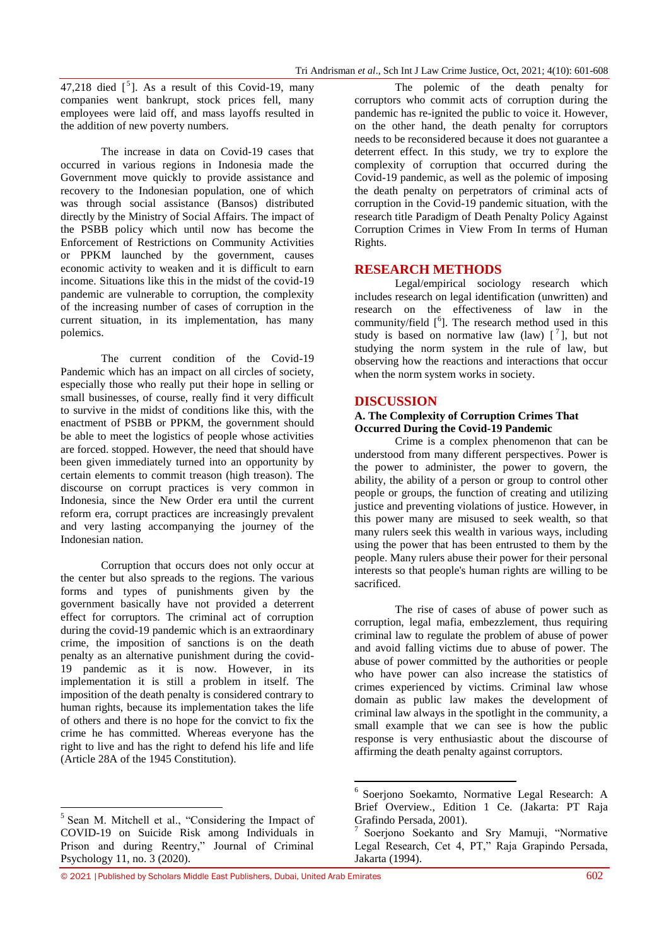47,218 died  $\left[\begin{array}{cc} 5 \end{array}\right]$ . As a result of this Covid-19, many companies went bankrupt, stock prices fell, many employees were laid off, and mass layoffs resulted in the addition of new poverty numbers.

The increase in data on Covid-19 cases that occurred in various regions in Indonesia made the Government move quickly to provide assistance and recovery to the Indonesian population, one of which was through social assistance (Bansos) distributed directly by the Ministry of Social Affairs. The impact of the PSBB policy which until now has become the Enforcement of Restrictions on Community Activities or PPKM launched by the government, causes economic activity to weaken and it is difficult to earn income. Situations like this in the midst of the covid-19 pandemic are vulnerable to corruption, the complexity of the increasing number of cases of corruption in the current situation, in its implementation, has many polemics.

The current condition of the Covid-19 Pandemic which has an impact on all circles of society, especially those who really put their hope in selling or small businesses, of course, really find it very difficult to survive in the midst of conditions like this, with the enactment of PSBB or PPKM, the government should be able to meet the logistics of people whose activities are forced. stopped. However, the need that should have been given immediately turned into an opportunity by certain elements to commit treason (high treason). The discourse on corrupt practices is very common in Indonesia, since the New Order era until the current reform era, corrupt practices are increasingly prevalent and very lasting accompanying the journey of the Indonesian nation.

Corruption that occurs does not only occur at the center but also spreads to the regions. The various forms and types of punishments given by the government basically have not provided a deterrent effect for corruptors. The criminal act of corruption during the covid-19 pandemic which is an extraordinary crime, the imposition of sanctions is on the death penalty as an alternative punishment during the covid-19 pandemic as it is now. However, in its implementation it is still a problem in itself. The imposition of the death penalty is considered contrary to human rights, because its implementation takes the life of others and there is no hope for the convict to fix the crime he has committed. Whereas everyone has the right to live and has the right to defend his life and life (Article 28A of the 1945 Constitution).

The polemic of the death penalty for corruptors who commit acts of corruption during the pandemic has re-ignited the public to voice it. However, on the other hand, the death penalty for corruptors needs to be reconsidered because it does not guarantee a deterrent effect. In this study, we try to explore the complexity of corruption that occurred during the Covid-19 pandemic, as well as the polemic of imposing the death penalty on perpetrators of criminal acts of corruption in the Covid-19 pandemic situation, with the research title Paradigm of Death Penalty Policy Against Corruption Crimes in View From In terms of Human Rights.

## **RESEARCH METHODS**

Legal/empirical sociology research which includes research on legal identification (unwritten) and research on the effectiveness of law in the community/field  $[6]$ . The research method used in this study is based on normative law (law)  $\begin{bmatrix} 7 \end{bmatrix}$ , but not studying the norm system in the rule of law, but observing how the reactions and interactions that occur when the norm system works in society.

#### **DISCUSSION**

#### **A. The Complexity of Corruption Crimes That Occurred During the Covid-19 Pandemic**

Crime is a complex phenomenon that can be understood from many different perspectives. Power is the power to administer, the power to govern, the ability, the ability of a person or group to control other people or groups, the function of creating and utilizing justice and preventing violations of justice. However, in this power many are misused to seek wealth, so that many rulers seek this wealth in various ways, including using the power that has been entrusted to them by the people. Many rulers abuse their power for their personal interests so that people's human rights are willing to be sacrificed.

The rise of cases of abuse of power such as corruption, legal mafia, embezzlement, thus requiring criminal law to regulate the problem of abuse of power and avoid falling victims due to abuse of power. The abuse of power committed by the authorities or people who have power can also increase the statistics of crimes experienced by victims. Criminal law whose domain as public law makes the development of criminal law always in the spotlight in the community, a small example that we can see is how the public response is very enthusiastic about the discourse of affirming the death penalty against corruptors.

**<sup>.</sup>** <sup>5</sup> Sean M. Mitchell et al., "Considering the Impact of COVID-19 on Suicide Risk among Individuals in Prison and during Reentry," Journal of Criminal Psychology 11, no. 3 (2020).

 6 Soerjono Soekamto, Normative Legal Research: A Brief Overview., Edition 1 Ce. (Jakarta: PT Raja Grafindo Persada, 2001).

<sup>7</sup> Soerjono Soekanto and Sry Mamuji, "Normative Legal Research, Cet 4, PT," Raja Grapindo Persada, Jakarta (1994).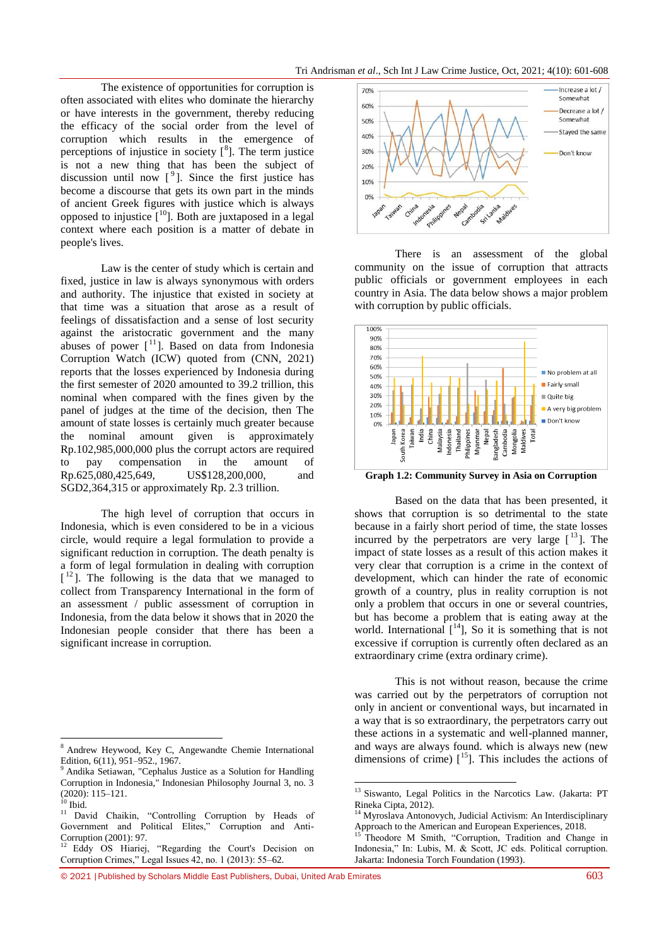Tri Andrisman *et al*., Sch Int J Law Crime Justice, Oct, 2021; 4(10): 601-608

The existence of opportunities for corruption is often associated with elites who dominate the hierarchy or have interests in the government, thereby reducing the efficacy of the social order from the level of corruption which results in the emergence of perceptions of injustice in society  $\binom{8}{1}$ . The term justice is not a new thing that has been the subject of discussion until now  $[9]$ . Since the first justice has become a discourse that gets its own part in the minds of ancient Greek figures with justice which is always opposed to injustice  $\int_0^{10}$ . Both are juxtaposed in a legal context where each position is a matter of debate in people's lives.

Law is the center of study which is certain and fixed, justice in law is always synonymous with orders and authority. The injustice that existed in society at that time was a situation that arose as a result of feelings of dissatisfaction and a sense of lost security against the aristocratic government and the many abuses of power  $[$ <sup>11</sup>]. Based on data from Indonesia Corruption Watch (ICW) quoted from (CNN, 2021) reports that the losses experienced by Indonesia during the first semester of 2020 amounted to 39.2 trillion, this nominal when compared with the fines given by the panel of judges at the time of the decision, then The amount of state losses is certainly much greater because the nominal amount given is approximately Rp.102,985,000,000 plus the corrupt actors are required to pay compensation in the amount of Rp.625,080,425,649, US\$128,200,000, and SGD2,364,315 or approximately Rp. 2.3 trillion.

The high level of corruption that occurs in Indonesia, which is even considered to be in a vicious circle, would require a legal formulation to provide a significant reduction in corruption. The death penalty is a form of legal formulation in dealing with corruption [<sup>12</sup>]. The following is the data that we managed to collect from Transparency International in the form of an assessment / public assessment of corruption in Indonesia, from the data below it shows that in 2020 the Indonesian people consider that there has been a significant increase in corruption.

 $\overline{a}$ 



There is an assessment of the global community on the issue of corruption that attracts public officials or government employees in each country in Asia. The data below shows a major problem with corruption by public officials.



**Graph 1.2: Community Survey in Asia on Corruption**

Based on the data that has been presented, it shows that corruption is so detrimental to the state because in a fairly short period of time, the state losses incurred by the perpetrators are very large  $\lceil$ <sup>13</sup> $\rceil$ . The impact of state losses as a result of this action makes it very clear that corruption is a crime in the context of development, which can hinder the rate of economic growth of a country, plus in reality corruption is not only a problem that occurs in one or several countries, but has become a problem that is eating away at the world. International  $[14]$ , So it is something that is not excessive if corruption is currently often declared as an extraordinary crime (extra ordinary crime).

This is not without reason, because the crime was carried out by the perpetrators of corruption not only in ancient or conventional ways, but incarnated in a way that is so extraordinary, the perpetrators carry out these actions in a systematic and well-planned manner, and ways are always found. which is always new (new dimensions of crime)  $\int_0^{15}$ . This includes the actions of

1

© 2021 |Published by Scholars Middle East Publishers, Dubai, United Arab Emirates 603

<sup>8</sup> Andrew Heywood, Key C, Angewandte Chemie International Edition, 6(11), 951–952., 1967.

<sup>&</sup>lt;sup>9</sup> Andika Setiawan, "Cephalus Justice as a Solution for Handling Corruption in Indonesia," Indonesian Philosophy Journal 3, no. 3 (2020): 115–121.

 $10$  Ibid.

<sup>&</sup>lt;sup>11</sup> David Chaikin, "Controlling Corruption by Heads of Government and Political Elites," Corruption and Anti-Corruption (2001): 97.

<sup>&</sup>lt;sup>12</sup> Eddy OS Hiariej, "Regarding the Court's Decision on Corruption Crimes," Legal Issues 42, no. 1 (2013): 55–62.

<sup>&</sup>lt;sup>13</sup> Siswanto, Legal Politics in the Narcotics Law. (Jakarta: PT Rineka Cipta, 2012).

<sup>&</sup>lt;sup>14</sup> Myroslava Antonovych, Judicial Activism: An Interdisciplinary Approach to the American and European Experiences, 2018.<br>
<sup>15</sup> Theodoric M. C. in the Context of Context of Context of Context of Context of Context of Context of Context of Context of Context of Context of Context of Cont

<sup>15</sup> Theodore M Smith, "Corruption, Tradition and Change in Indonesia," In: Lubis, M. & Scott, JC eds. Political corruption. Jakarta: Indonesia Torch Foundation (1993).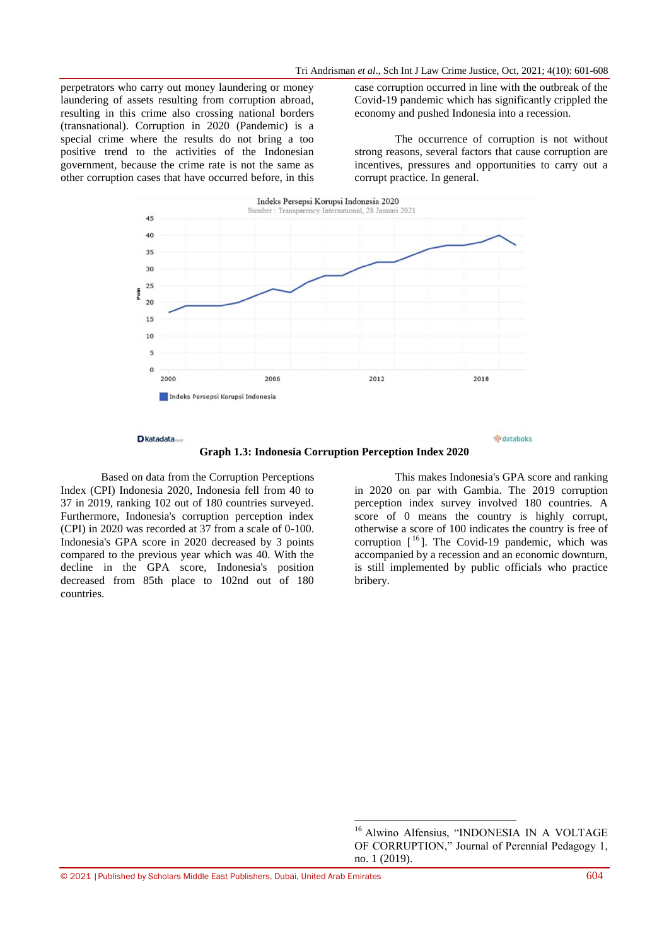perpetrators who carry out money laundering or money laundering of assets resulting from corruption abroad, resulting in this crime also crossing national borders (transnational). Corruption in 2020 (Pandemic) is a special crime where the results do not bring a too positive trend to the activities of the Indonesian government, because the crime rate is not the same as other corruption cases that have occurred before, in this

case corruption occurred in line with the outbreak of the Covid-19 pandemic which has significantly crippled the economy and pushed Indonesia into a recession.

The occurrence of corruption is not without strong reasons, several factors that cause corruption are incentives, pressures and opportunities to carry out a corrupt practice. In general.



**Graph 1.3: Indonesia Corruption Perception Index 2020**

 $\overline{a}$ 

Based on data from the Corruption Perceptions Index (CPI) Indonesia 2020, Indonesia fell from 40 to 37 in 2019, ranking 102 out of 180 countries surveyed. Furthermore, Indonesia's corruption perception index (CPI) in 2020 was recorded at 37 from a scale of 0-100. Indonesia's GPA score in 2020 decreased by 3 points compared to the previous year which was 40. With the decline in the GPA score, Indonesia's position decreased from 85th place to 102nd out of 180 countries.

This makes Indonesia's GPA score and ranking in 2020 on par with Gambia. The 2019 corruption perception index survey involved 180 countries. A score of 0 means the country is highly corrupt, otherwise a score of 100 indicates the country is free of corruption  $[$ <sup>16</sup> $]$ . The Covid-19 pandemic, which was accompanied by a recession and an economic downturn, is still implemented by public officials who practice bribery.

<sup>&</sup>lt;sup>16</sup> Alwino Alfensius, "INDONESIA IN A VOLTAGE OF CORRUPTION," Journal of Perennial Pedagogy 1, no. 1 (2019).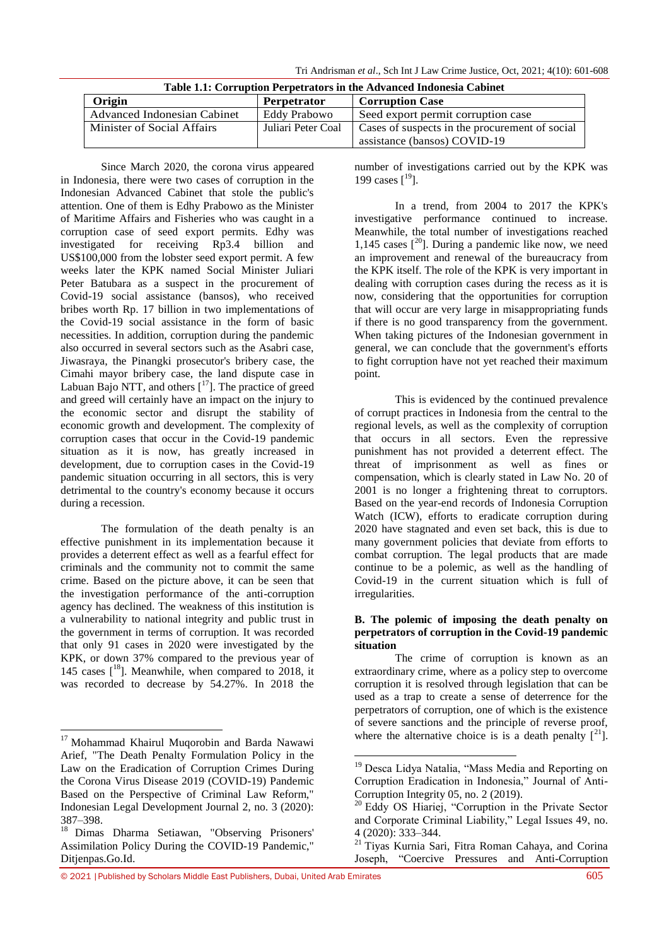Tri Andrisman *et al*., Sch Int J Law Crime Justice, Oct, 2021; 4(10): 601-608

| Table 1.1: Corruption Perpetrators in the Advanced Indonesia Cabinet |                    |                                                                                |
|----------------------------------------------------------------------|--------------------|--------------------------------------------------------------------------------|
| Origin                                                               | <b>Perpetrator</b> | <b>Corruption Case</b>                                                         |
| Advanced Indonesian Cabinet                                          | Eddy Prabowo       | Seed export permit corruption case                                             |
| Minister of Social Affairs                                           | Juliari Peter Coal | Cases of suspects in the procurement of social<br>assistance (bansos) COVID-19 |

**Table 1.1: Corruption Perpetrators in the Advanced Indonesia Cabinet**

Since March 2020, the corona virus appeared in Indonesia, there were two cases of corruption in the Indonesian Advanced Cabinet that stole the public's attention. One of them is Edhy Prabowo as the Minister of Maritime Affairs and Fisheries who was caught in a corruption case of seed export permits. Edhy was investigated for receiving Rp3.4 billion and US\$100,000 from the lobster seed export permit. A few weeks later the KPK named Social Minister Juliari Peter Batubara as a suspect in the procurement of Covid-19 social assistance (bansos), who received bribes worth Rp. 17 billion in two implementations of the Covid-19 social assistance in the form of basic necessities. In addition, corruption during the pandemic also occurred in several sectors such as the Asabri case, Jiwasraya, the Pinangki prosecutor's bribery case, the Cimahi mayor bribery case, the land dispute case in Labuan Bajo NTT, and others  $[17]$ . The practice of greed and greed will certainly have an impact on the injury to the economic sector and disrupt the stability of economic growth and development. The complexity of corruption cases that occur in the Covid-19 pandemic situation as it is now, has greatly increased in development, due to corruption cases in the Covid-19 pandemic situation occurring in all sectors, this is very detrimental to the country's economy because it occurs during a recession.

The formulation of the death penalty is an effective punishment in its implementation because it provides a deterrent effect as well as a fearful effect for criminals and the community not to commit the same crime. Based on the picture above, it can be seen that the investigation performance of the anti-corruption agency has declined. The weakness of this institution is a vulnerability to national integrity and public trust in the government in terms of corruption. It was recorded that only 91 cases in 2020 were investigated by the KPK, or down 37% compared to the previous year of 145 cases  $[18]$ . Meanwhile, when compared to 2018, it was recorded to decrease by 54.27%. In 2018 the

**.** 

number of investigations carried out by the KPK was 199 cases  $[19]$ .

In a trend, from 2004 to 2017 the KPK's investigative performance continued to increase. Meanwhile, the total number of investigations reached 1,145 cases  $[20]$ . During a pandemic like now, we need an improvement and renewal of the bureaucracy from the KPK itself. The role of the KPK is very important in dealing with corruption cases during the recess as it is now, considering that the opportunities for corruption that will occur are very large in misappropriating funds if there is no good transparency from the government. When taking pictures of the Indonesian government in general, we can conclude that the government's efforts to fight corruption have not yet reached their maximum point.

This is evidenced by the continued prevalence of corrupt practices in Indonesia from the central to the regional levels, as well as the complexity of corruption that occurs in all sectors. Even the repressive punishment has not provided a deterrent effect. The threat of imprisonment as well as fines or compensation, which is clearly stated in Law No. 20 of 2001 is no longer a frightening threat to corruptors. Based on the year-end records of Indonesia Corruption Watch (ICW), efforts to eradicate corruption during 2020 have stagnated and even set back, this is due to many government policies that deviate from efforts to combat corruption. The legal products that are made continue to be a polemic, as well as the handling of Covid-19 in the current situation which is full of irregularities.

### **B. The polemic of imposing the death penalty on perpetrators of corruption in the Covid-19 pandemic situation**

The crime of corruption is known as an extraordinary crime, where as a policy step to overcome corruption it is resolved through legislation that can be used as a trap to create a sense of deterrence for the perpetrators of corruption, one of which is the existence of severe sanctions and the principle of reverse proof, where the alternative choice is is a death penalty  $\lceil^{21} \rceil$ .

<sup>&</sup>lt;sup>17</sup> Mohammad Khairul Muqorobin and Barda Nawawi Arief, "The Death Penalty Formulation Policy in the Law on the Eradication of Corruption Crimes During the Corona Virus Disease 2019 (COVID-19) Pandemic Based on the Perspective of Criminal Law Reform," Indonesian Legal Development Journal 2, no. 3 (2020): 387–398.

<sup>&</sup>lt;sup>18</sup> Dimas Dharma Setiawan, "Observing Prisoners' Assimilation Policy During the COVID-19 Pandemic," Ditjenpas.Go.Id.

 $\overline{a}$ <sup>19</sup> Desca Lidya Natalia, "Mass Media and Reporting on Corruption Eradication in Indonesia," Journal of Anti-Corruption Integrity 05, no. 2 (2019).

<sup>&</sup>lt;sup>20</sup> Eddy OS Hiariej, "Corruption in the Private Sector and Corporate Criminal Liability," Legal Issues 49, no. 4 (2020): 333–344.

<sup>21</sup> Tiyas Kurnia Sari, Fitra Roman Cahaya, and Corina Joseph, "Coercive Pressures and Anti-Corruption

<sup>© 2021</sup> |Published by Scholars Middle East Publishers, Dubai, United Arab Emirates 605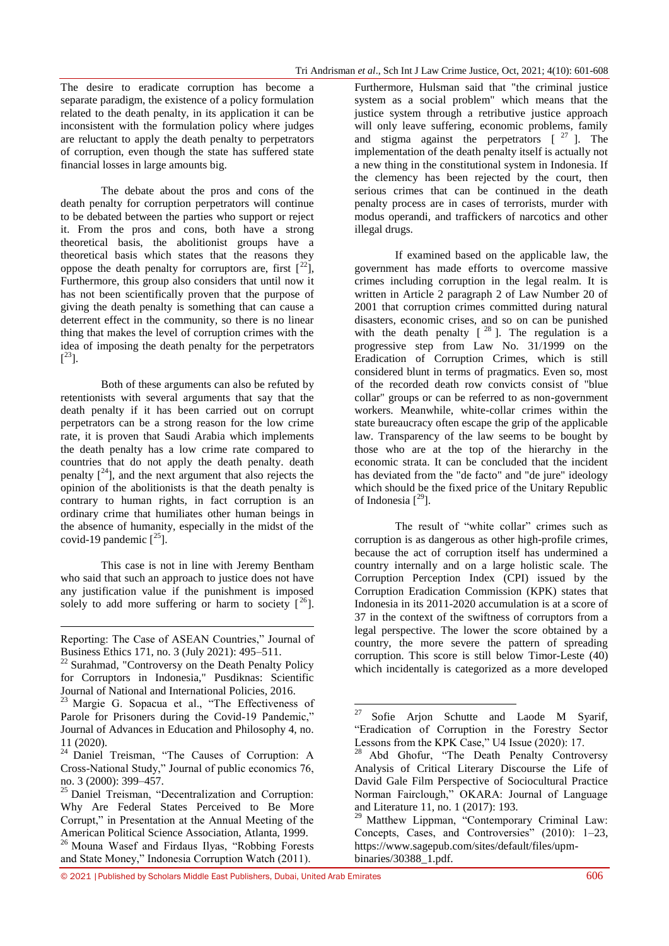The desire to eradicate corruption has become a separate paradigm, the existence of a policy formulation related to the death penalty, in its application it can be inconsistent with the formulation policy where judges are reluctant to apply the death penalty to perpetrators of corruption, even though the state has suffered state financial losses in large amounts big.

The debate about the pros and cons of the death penalty for corruption perpetrators will continue to be debated between the parties who support or reject it. From the pros and cons, both have a strong theoretical basis, the abolitionist groups have a theoretical basis which states that the reasons they oppose the death penalty for corruptors are, first  $[2^2]$ , Furthermore, this group also considers that until now it has not been scientifically proven that the purpose of giving the death penalty is something that can cause a deterrent effect in the community, so there is no linear thing that makes the level of corruption crimes with the idea of imposing the death penalty for the perpetrators  $[$ <sup>23</sup>].

Both of these arguments can also be refuted by retentionists with several arguments that say that the death penalty if it has been carried out on corrupt perpetrators can be a strong reason for the low crime rate, it is proven that Saudi Arabia which implements the death penalty has a low crime rate compared to countries that do not apply the death penalty. death penalty  $\int_0^{24}$ , and the next argument that also rejects the opinion of the abolitionists is that the death penalty is contrary to human rights, in fact corruption is an ordinary crime that humiliates other human beings in the absence of humanity, especially in the midst of the covid-19 pandemic  $[<sup>25</sup>]$ .

This case is not in line with Jeremy Bentham who said that such an approach to justice does not have any justification value if the punishment is imposed solely to add more suffering or harm to society  $\lceil^{26} \rceil$ .

1

Furthermore, Hulsman said that "the criminal justice system as a social problem" which means that the justice system through a retributive justice approach will only leave suffering, economic problems, family and stigma against the perpetrators  $[$   $27$  ]. The implementation of the death penalty itself is actually not a new thing in the constitutional system in Indonesia. If the clemency has been rejected by the court, then serious crimes that can be continued in the death penalty process are in cases of terrorists, murder with modus operandi, and traffickers of narcotics and other illegal drugs.

If examined based on the applicable law, the government has made efforts to overcome massive crimes including corruption in the legal realm. It is written in Article 2 paragraph 2 of Law Number 20 of 2001 that corruption crimes committed during natural disasters, economic crises, and so on can be punished with the death penalty  $[<sup>28</sup>]$ . The regulation is a progressive step from Law No. 31/1999 on the Eradication of Corruption Crimes, which is still considered blunt in terms of pragmatics. Even so, most of the recorded death row convicts consist of "blue collar" groups or can be referred to as non-government workers. Meanwhile, white-collar crimes within the state bureaucracy often escape the grip of the applicable law. Transparency of the law seems to be bought by those who are at the top of the hierarchy in the economic strata. It can be concluded that the incident has deviated from the "de facto" and "de jure" ideology which should be the fixed price of the Unitary Republic of Indonesia  $[<sup>29</sup>]$ .

The result of "white collar" crimes such as corruption is as dangerous as other high-profile crimes, because the act of corruption itself has undermined a country internally and on a large holistic scale. The Corruption Perception Index (CPI) issued by the Corruption Eradication Commission (KPK) states that Indonesia in its 2011-2020 accumulation is at a score of 37 in the context of the swiftness of corruptors from a legal perspective. The lower the score obtained by a country, the more severe the pattern of spreading corruption. This score is still below Timor-Leste (40) which incidentally is categorized as a more developed

Reporting: The Case of ASEAN Countries," Journal of Business Ethics 171, no. 3 (July 2021): 495–511.

<sup>&</sup>lt;sup>22</sup> Surahmad, "Controversy on the Death Penalty Policy for Corruptors in Indonesia," Pusdiknas: Scientific Journal of National and International Policies, 2016.

<sup>&</sup>lt;sup>23</sup> Margie G. Sopacua et al., "The Effectiveness of Parole for Prisoners during the Covid-19 Pandemic," Journal of Advances in Education and Philosophy 4, no. 11 (2020).

<sup>&</sup>lt;sup>24</sup> Daniel Treisman, "The Causes of Corruption: A Cross-National Study," Journal of public economics 76, no. 3 (2000): 399–457.

<sup>&</sup>lt;sup>25</sup> Daniel Treisman, "Decentralization and Corruption: Why Are Federal States Perceived to Be More Corrupt," in Presentation at the Annual Meeting of the American Political Science Association, Atlanta, 1999.

<sup>&</sup>lt;sup>26</sup> Mouna Wasef and Firdaus Ilyas, "Robbing Forests and State Money," Indonesia Corruption Watch (2011).

<sup>27</sup> Sofie Arjon Schutte and Laode M Syarif, "Eradication of Corruption in the Forestry Sector Lessons from the KPK Case," U4 Issue (2020): 17.

<sup>&</sup>lt;sup>28</sup> Abd Ghofur, "The Death Penalty Controversy Analysis of Critical Literary Discourse the Life of David Gale Film Perspective of Sociocultural Practice Norman Fairclough," OKARA: Journal of Language and Literature 11, no. 1 (2017): 193.

<sup>&</sup>lt;sup>29</sup> Matthew Lippman, "Contemporary Criminal Law: Concepts, Cases, and Controversies" (2010): 1–23, https://www.sagepub.com/sites/default/files/upmbinaries/30388\_1.pdf.

<sup>© 2021</sup> |Published by Scholars Middle East Publishers, Dubai, United Arab Emirates 606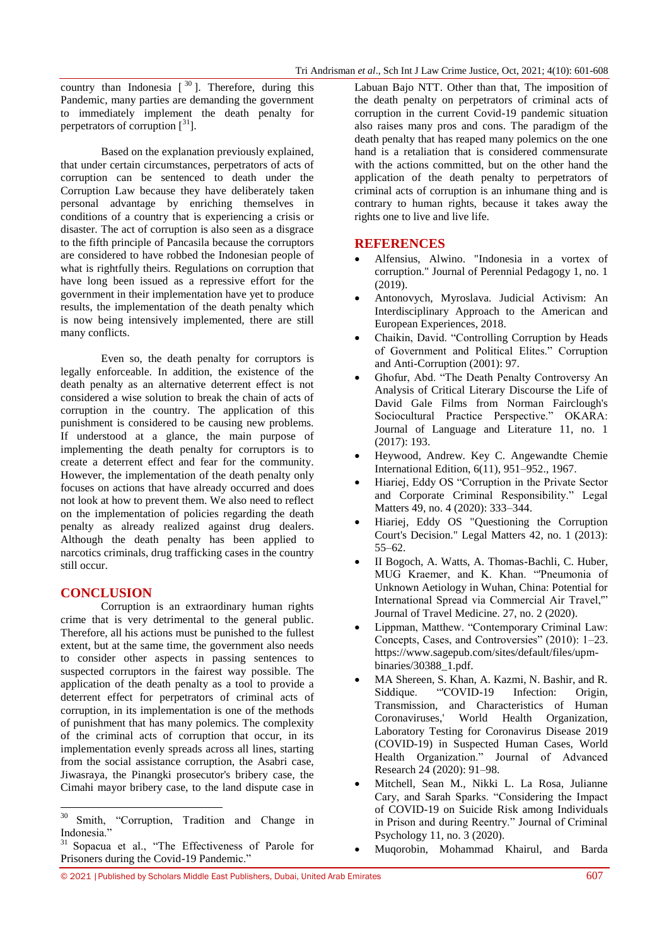country than Indonesia  $[30]$ . Therefore, during this Pandemic, many parties are demanding the government to immediately implement the death penalty for perpetrators of corruption  $\lceil \frac{31}{1} \rceil$ .

Based on the explanation previously explained, that under certain circumstances, perpetrators of acts of corruption can be sentenced to death under the Corruption Law because they have deliberately taken personal advantage by enriching themselves in conditions of a country that is experiencing a crisis or disaster. The act of corruption is also seen as a disgrace to the fifth principle of Pancasila because the corruptors are considered to have robbed the Indonesian people of what is rightfully theirs. Regulations on corruption that have long been issued as a repressive effort for the government in their implementation have yet to produce results, the implementation of the death penalty which is now being intensively implemented, there are still many conflicts.

Even so, the death penalty for corruptors is legally enforceable. In addition, the existence of the death penalty as an alternative deterrent effect is not considered a wise solution to break the chain of acts of corruption in the country. The application of this punishment is considered to be causing new problems. If understood at a glance, the main purpose of implementing the death penalty for corruptors is to create a deterrent effect and fear for the community. However, the implementation of the death penalty only focuses on actions that have already occurred and does not look at how to prevent them. We also need to reflect on the implementation of policies regarding the death penalty as already realized against drug dealers. Although the death penalty has been applied to narcotics criminals, drug trafficking cases in the country still occur.

# **CONCLUSION**

**.** 

Corruption is an extraordinary human rights crime that is very detrimental to the general public. Therefore, all his actions must be punished to the fullest extent, but at the same time, the government also needs to consider other aspects in passing sentences to suspected corruptors in the fairest way possible. The application of the death penalty as a tool to provide a deterrent effect for perpetrators of criminal acts of corruption, in its implementation is one of the methods of punishment that has many polemics. The complexity of the criminal acts of corruption that occur, in its implementation evenly spreads across all lines, starting from the social assistance corruption, the Asabri case, Jiwasraya, the Pinangki prosecutor's bribery case, the Cimahi mayor bribery case, to the land dispute case in

Labuan Bajo NTT. Other than that, The imposition of the death penalty on perpetrators of criminal acts of corruption in the current Covid-19 pandemic situation also raises many pros and cons. The paradigm of the death penalty that has reaped many polemics on the one hand is a retaliation that is considered commensurate with the actions committed, but on the other hand the application of the death penalty to perpetrators of criminal acts of corruption is an inhumane thing and is contrary to human rights, because it takes away the rights one to live and live life.

## **REFERENCES**

- Alfensius, Alwino. "Indonesia in a vortex of corruption." Journal of Perennial Pedagogy 1, no. 1 (2019).
- Antonovych, Myroslava. Judicial Activism: An Interdisciplinary Approach to the American and European Experiences, 2018.
- Chaikin, David. "Controlling Corruption by Heads of Government and Political Elites." Corruption and Anti-Corruption (2001): 97.
- Ghofur, Abd. "The Death Penalty Controversy An Analysis of Critical Literary Discourse the Life of David Gale Films from Norman Fairclough's Sociocultural Practice Perspective." OKARA: Journal of Language and Literature 11, no. 1 (2017): 193.
- Heywood, Andrew. Key C. Angewandte Chemie International Edition, 6(11), 951–952., 1967.
- Hiariej, Eddy OS "Corruption in the Private Sector and Corporate Criminal Responsibility." Legal Matters 49, no. 4 (2020): 333–344.
- Hiariej, Eddy OS "Questioning the Corruption Court's Decision." Legal Matters 42, no. 1 (2013): 55–62.
- II Bogoch, A. Watts, A. Thomas-Bachli, C. Huber, MUG Kraemer, and K. Khan. "'Pneumonia of Unknown Aetiology in Wuhan, China: Potential for International Spread via Commercial Air Travel,'" Journal of Travel Medicine. 27, no. 2 (2020).
- Lippman, Matthew. "Contemporary Criminal Law: Concepts, Cases, and Controversies" (2010): 1–23. https://www.sagepub.com/sites/default/files/upmbinaries/30388\_1.pdf.
- MA Shereen, S. Khan, A. Kazmi, N. Bashir, and R. Siddique. "COVID-19 Infection: Origin. Transmission, and Characteristics of Human Coronaviruses,' World Health Organization, Laboratory Testing for Coronavirus Disease 2019 (COVID-19) in Suspected Human Cases, World Health Organization." Journal of Advanced Research 24 (2020): 91–98.
- Mitchell, Sean M., Nikki L. La Rosa, Julianne Cary, and Sarah Sparks. "Considering the Impact of COVID-19 on Suicide Risk among Individuals in Prison and during Reentry." Journal of Criminal Psychology 11, no. 3 (2020).
- Muqorobin, Mohammad Khairul, and Barda

<sup>&</sup>lt;sup>30</sup> Smith, "Corruption, Tradition and Change in Indonesia.'

<sup>31</sup> Sopacua et al., "The Effectiveness of Parole for Prisoners during the Covid-19 Pandemic."